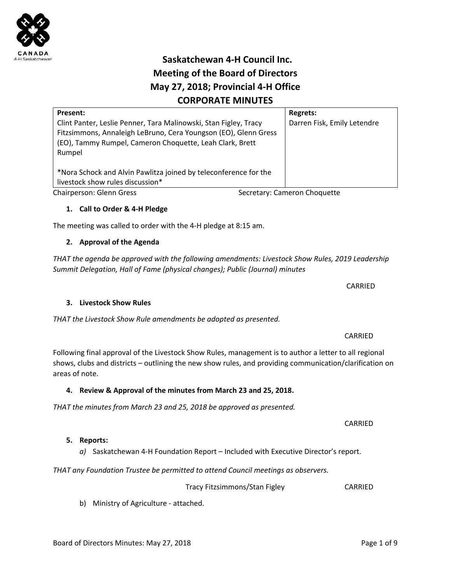

| Present:                                                         | <b>Regrets:</b>             |
|------------------------------------------------------------------|-----------------------------|
| Clint Panter, Leslie Penner, Tara Malinowski, Stan Figley, Tracy | Darren Fisk, Emily Letendre |
| Fitzsimmons, Annaleigh LeBruno, Cera Youngson (EO), Glenn Gress  |                             |
| (EO), Tammy Rumpel, Cameron Choquette, Leah Clark, Brett         |                             |
| Rumpel                                                           |                             |
|                                                                  |                             |
| *Nora Schock and Alvin Pawlitza joined by teleconference for the |                             |
| livestock show rules discussion*                                 |                             |
|                                                                  |                             |

Chairperson: Glenn Gress Secretary: Cameron Choquette

# **2. Approval of the Agenda**

**1. Call to Order & 4‐H Pledge** 

*THAT the agenda be approved with the following amendments: Livestock Show Rules, 2019 Leadership Summit Delegation, Hall of Fame (physical changes); Public (Journal) minutes* 

 $\overline{\text{CARRED}}$ **3. Livestock Show Rules** 

*THAT the Livestock Show Rule amendments be adopted as presented.* 

The meeting was called to order with the 4‐H pledge at 8:15 am.

Following final approval of the Livestock Show Rules, management is to author a letter to all regional shows, clubs and districts – outlining the new show rules, and providing communication/clarification on areas of note.

# **4. Review & Approval of the minutes from March 23 and 25, 2018.**

*THAT the minutes from March 23 and 25, 2018 be approved as presented.* 

## **5. Reports:**

*a)* Saskatchewan 4‐H Foundation Report – Included with Executive Director's report.

*THAT any Foundation Trustee be permitted to attend Council meetings as observers.* 

# Tracy Fitzsimmons/Stan Figley CARRIED

b) Ministry of Agriculture ‐ attached.



 $\overline{\text{CARRIED}}$ 

 CARRIED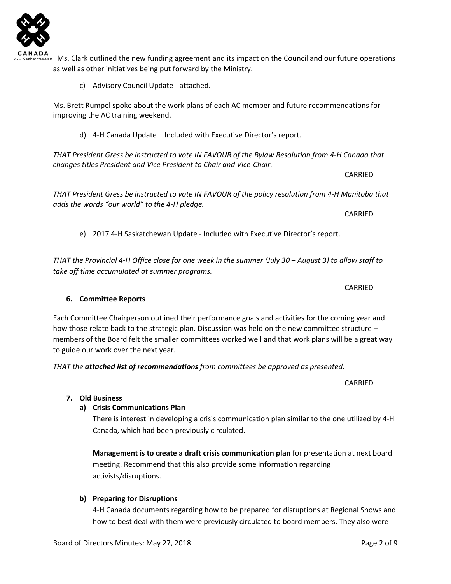

latchewan Ms. Clark outlined the new funding agreement and its impact on the Council and our future operations as well as other initiatives being put forward by the Ministry.

c) Advisory Council Update ‐ attached.

Ms. Brett Rumpel spoke about the work plans of each AC member and future recommendations for improving the AC training weekend.

d) 4‐H Canada Update – Included with Executive Director's report.

*THAT President Gress be instructed to vote IN FAVOUR of the Bylaw Resolution from 4‐H Canada that changes titles President and Vice President to Chair and Vice‐Chair.* 

*THAT President Gress be instructed to vote IN FAVOUR of the policy resolution from 4‐H Manitoba that adds the words "our world" to the 4‐H pledge.* 

e) 2017 4‐H Saskatchewan Update ‐ Included with Executive Director's report.

*THAT the Provincial 4‐H Office close for one week in the summer (July 30 – August 3) to allow staff to take off time accumulated at summer programs.* 

 CARRIED **6. Committee Reports**  Each Committee Chairperson outlined their performance goals and activities for the coming year and

how those relate back to the strategic plan. Discussion was held on the new committee structure – members of the Board felt the smaller committees worked well and that work plans will be a great way to guide our work over the next year.

*THAT the attached list of recommendations from committees be approved as presented.* 

 CARRIED

# **a) Crisis Communications Plan**

**7. Old Business** 

There is interest in developing a crisis communication plan similar to the one utilized by 4‐H Canada, which had been previously circulated.

**Management is to create a draft crisis communication plan** for presentation at next board meeting. Recommend that this also provide some information regarding activists/disruptions.

# **b) Preparing for Disruptions**

4‐H Canada documents regarding how to be prepared for disruptions at Regional Shows and how to best deal with them were previously circulated to board members. They also were

CARRIED

CARRIED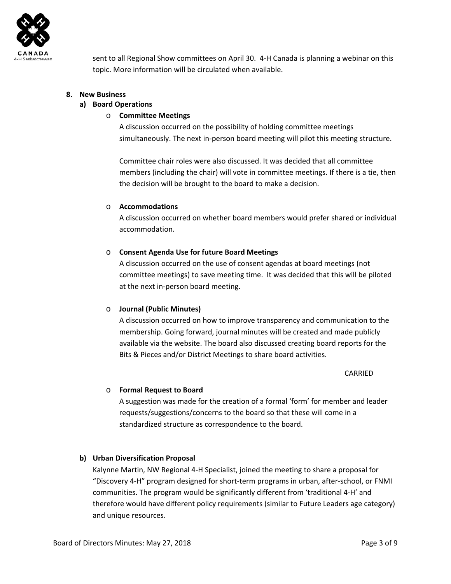

sent to all Regional Show committees on April 30. 4‐H Canada is planning a webinar on this topic. More information will be circulated when available.

#### **8. New Business**

# **a) Board Operations**

#### o **Committee Meetings**

A discussion occurred on the possibility of holding committee meetings simultaneously. The next in‐person board meeting will pilot this meeting structure.

Committee chair roles were also discussed. It was decided that all committee members (including the chair) will vote in committee meetings. If there is a tie, then the decision will be brought to the board to make a decision.

#### o **Accommodations**

A discussion occurred on whether board members would prefer shared or individual accommodation.

#### o **Consent Agenda Use for future Board Meetings**

A discussion occurred on the use of consent agendas at board meetings (not committee meetings) to save meeting time. It was decided that this will be piloted at the next in‐person board meeting.

## o **Journal (Public Minutes)**

A discussion occurred on how to improve transparency and communication to the membership. Going forward, journal minutes will be created and made publicly available via the website. The board also discussed creating board reports for the Bits & Pieces and/or District Meetings to share board activities.

 $\overline{\text{CARRED}}$ 

## o **Formal Request to Board**

A suggestion was made for the creation of a formal 'form' for member and leader requests/suggestions/concerns to the board so that these will come in a standardized structure as correspondence to the board.

## **b) Urban Diversification Proposal**

Kalynne Martin, NW Regional 4‐H Specialist, joined the meeting to share a proposal for "Discovery 4‐H" program designed for short‐term programs in urban, after‐school, or FNMI communities. The program would be significantly different from 'traditional 4‐H' and therefore would have different policy requirements (similar to Future Leaders age category) and unique resources.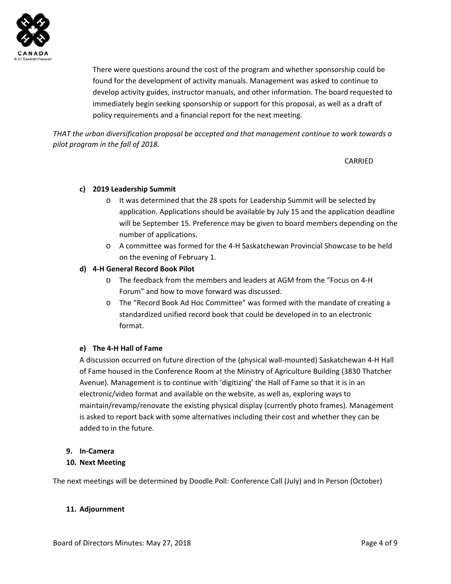

There were questions around the cost of the program and whether sponsorship could be found for the development of activity manuals. Management was asked to continue to develop activity guides, instructor manuals, and other information. The board requested to immediately begin seeking sponsorship or support for this proposal, as well as a draft of policy requirements and a financial report for the next meeting.

*THAT the urban diversification proposal be accepted and that management continue to work towards a pilot program in the fall of 2018.* 

 CARRIED

## **c) 2019 Leadership Summit**

- o It was determined that the 28 spots for Leadership Summit will be selected by application. Applications should be available by July 15 and the application deadline will be September 15. Preference may be given to board members depending on the number of applications.
- o A committee was formed for the 4‐H Saskatchewan Provincial Showcase to be held on the evening of February 1.

# **d) 4‐H General Record Book Pilot**

- o The feedback from the members and leaders at AGM from the "Focus on 4‐H Forum" and how to move forward was discussed.
- o The "Record Book Ad Hoc Committee" was formed with the mandate of creating a standardized unified record book that could be developed in to an electronic format.

## **e) The 4‐H Hall of Fame**

A discussion occurred on future direction of the (physical wall‐mounted) Saskatchewan 4‐H Hall of Fame housed in the Conference Room at the Ministry of Agriculture Building (3830 Thatcher Avenue). Management is to continue with 'digitizing' the Hall of Fame so that it is in an electronic/video format and available on the website, as well as, exploring ways to maintain/revamp/renovate the existing physical display (currently photo frames). Management is asked to report back with some alternatives including their cost and whether they can be added to in the future.

## **9. In‐Camera**

## **10. Next Meeting**

The next meetings will be determined by Doodle Poll: Conference Call (July) and In Person (October)

#### **11. Adjournment**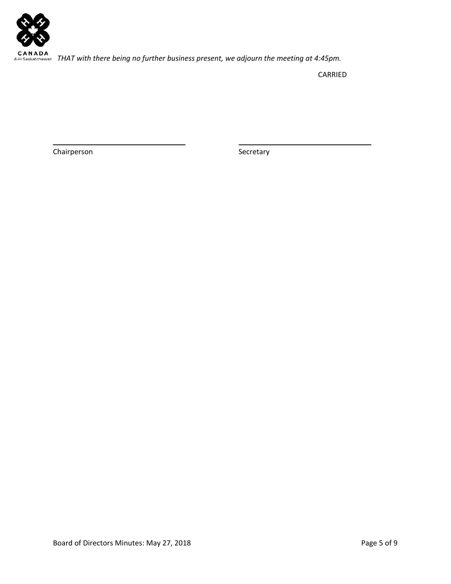

*THAT with there being no further business present, we adjourn the meeting at 4:45pm.* 

 $\overline{C}$ ARRIED

Chairperson **Secretary**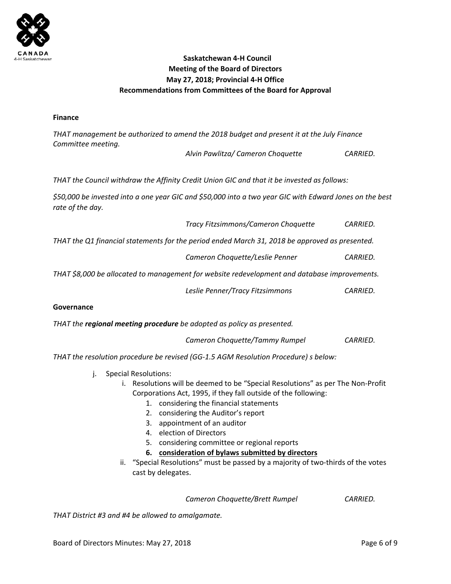

# **Saskatchewan 4‐H Council Meeting of the Board of Directors May 27, 2018; Provincial 4‐H Office Recommendations from Committees of the Board for Approval**

#### **Finance**

*THAT management be authorized to amend the 2018 budget and present it at the July Finance Committee meeting.* 

 *Alvin Pawlitza/ Cameron Choquette CARRIED.* 

*THAT the Council withdraw the Affinity Credit Union GIC and that it be invested as follows:* 

*\$50,000 be invested into a one year GIC and \$50,000 into a two year GIC with Edward Jones on the best rate of the day.* 

 *Tracy Fitzsimmons/Cameron Choquette CARRIED.* 

*THAT the Q1 financial statements for the period ended March 31, 2018 be approved as presented.* 

 *Cameron Choquette/Leslie Penner CARRIED.* 

*THAT \$8,000 be allocated to management for website redevelopment and database improvements.* 

 *Leslie Penner/Tracy Fitzsimmons CARRIED.* 

#### **Governance**

*THAT the regional meeting procedure be adopted as policy as presented.* 

 *Cameron Choquette/Tammy Rumpel CARRIED.* 

*THAT the resolution procedure be revised (GG‐1.5 AGM Resolution Procedure) s below:* 

- j. Special Resolutions:
	- i. Resolutions will be deemed to be "Special Resolutions" as per The Non‐Profit Corporations Act, 1995, if they fall outside of the following:
		- 1. considering the financial statements
		- 2. considering the Auditor's report
		- 3. appointment of an auditor
		- 4. election of Directors
		- 5. considering committee or regional reports
		- **6. consideration of bylaws submitted by directors**
	- ii. "Special Resolutions" must be passed by a majority of two-thirds of the votes cast by delegates.

 *Cameron Choquette/Brett Rumpel CARRIED.* 

*THAT District #3 and #4 be allowed to amalgamate.*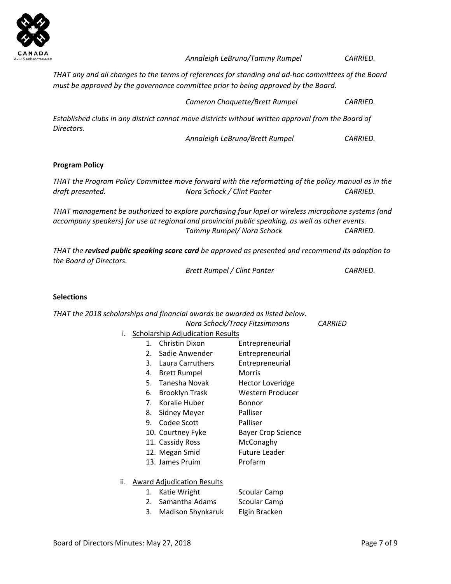

 *Annaleigh LeBruno/Tammy Rumpel CARRIED.* 

*THAT any and all changes to the terms of references for standing and ad‐hoc committees of the Board must be approved by the governance committee prior to being approved by the Board.* 

| Cameron Choquette/Brett Rumpel                                                                     | <i>CARRIED.</i> |  |  |  |  |
|----------------------------------------------------------------------------------------------------|-----------------|--|--|--|--|
| Established clubs in any district cannot move districts without written approval from the Board of |                 |  |  |  |  |
| Directors.<br>Annaleigh LeBruno/Brett Rumpel                                                       | CARRIED.        |  |  |  |  |

## **Program Policy**

*THAT the Program Policy Committee move forward with the reformatting of the policy manual as in the draft presented. Nora Schock / Clint Panter CARRIED.* 

*THAT management be authorized to explore purchasing four lapel or wireless microphone systems (and*  accompany speakers) for use at regional and provincial public speaking, as well as other events.  *Tammy Rumpel/ Nora Schock CARRIED.* 

*THAT the revised public speaking score card be approved as presented and recommend its adoption to the Board of Directors.* 

 *Brett Rumpel / Clint Panter CARRIED.* 

#### **Selections**

| THAT the 2018 scholarships and financial awards be awarded as listed below. |                                         |                                   |                           |                |  |  |
|-----------------------------------------------------------------------------|-----------------------------------------|-----------------------------------|---------------------------|----------------|--|--|
|                                                                             | Nora Schock/Tracy Fitzsimmons           |                                   |                           | <b>CARRIED</b> |  |  |
| i.                                                                          | <b>Scholarship Adjudication Results</b> |                                   |                           |                |  |  |
|                                                                             | 1.                                      | Christin Dixon                    | Entrepreneurial           |                |  |  |
|                                                                             | 2.                                      | Sadie Anwender                    | Entrepreneurial           |                |  |  |
|                                                                             | 3.                                      | Laura Carruthers                  | Entrepreneurial           |                |  |  |
|                                                                             | 4.                                      | <b>Brett Rumpel</b>               | <b>Morris</b>             |                |  |  |
|                                                                             | 5.                                      | Tanesha Novak                     | <b>Hector Loveridge</b>   |                |  |  |
|                                                                             | 6.                                      | Brooklyn Trask                    | Western Producer          |                |  |  |
|                                                                             | $7_{\cdot}$                             | Koralie Huber                     | <b>Bonnor</b>             |                |  |  |
|                                                                             | 8.                                      | Sidney Meyer                      | Palliser                  |                |  |  |
|                                                                             | 9.                                      | Codee Scott                       | Palliser                  |                |  |  |
|                                                                             |                                         | 10. Courtney Fyke                 | <b>Bayer Crop Science</b> |                |  |  |
|                                                                             |                                         | 11. Cassidy Ross                  | McConaghy                 |                |  |  |
|                                                                             |                                         | 12. Megan Smid                    | <b>Future Leader</b>      |                |  |  |
|                                                                             |                                         | 13. James Pruim                   | Profarm                   |                |  |  |
| ii.                                                                         |                                         | <b>Award Adjudication Results</b> |                           |                |  |  |
|                                                                             | 1.                                      | Katie Wright                      | Scoular Camp              |                |  |  |
|                                                                             | $\overline{2}$ .                        | Samantha Adams                    | Scoular Camp              |                |  |  |
|                                                                             | 3.                                      | Madison Shynkaruk                 | Elgin Bracken             |                |  |  |
|                                                                             |                                         |                                   |                           |                |  |  |
|                                                                             |                                         |                                   |                           |                |  |  |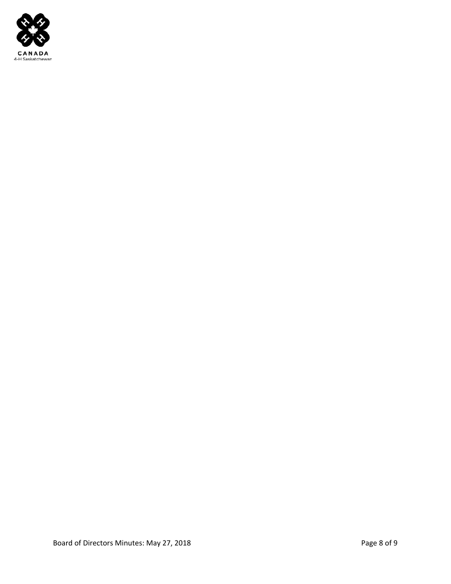